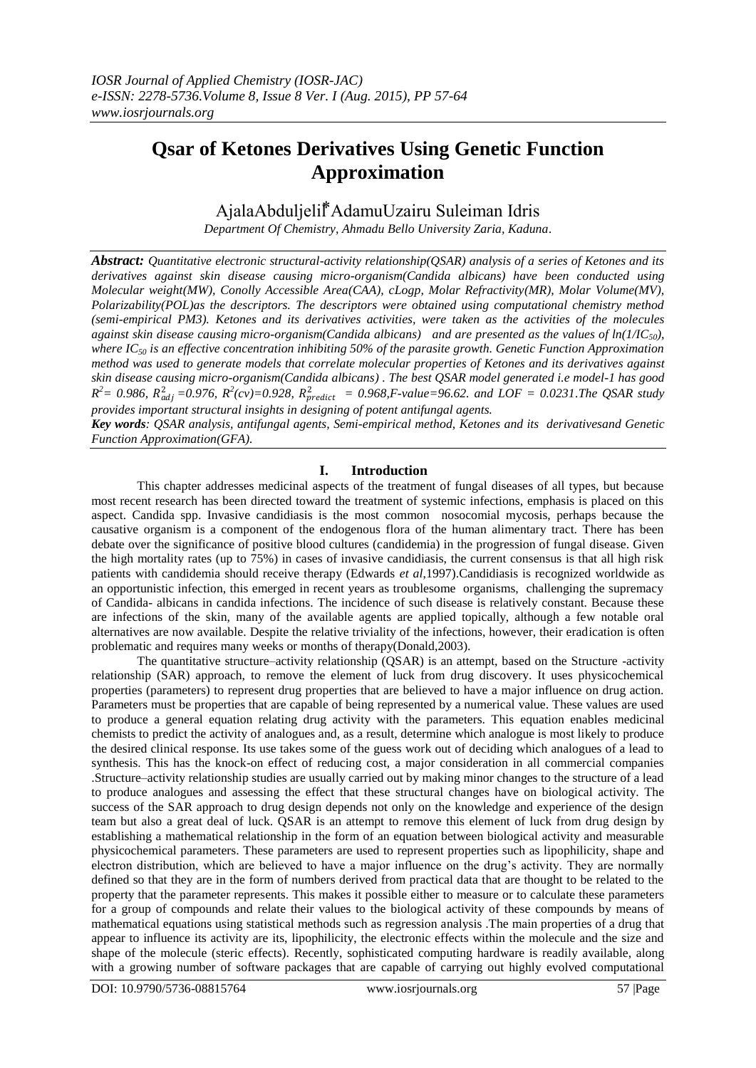# **Qsar of Ketones Derivatives Using Genetic Function Approximation**

AjalaAbduljelil<sup>\*</sup>AdamuUzairu Suleiman Idris

*Department Of Chemistry, Ahmadu Bello University Zaria, Kaduna.*

*Abstract: Quantitative electronic structural-activity relationship(QSAR) analysis of a series of Ketones and its derivatives against skin disease causing micro-organism(Candida albicans) have been conducted using Molecular weight(MW), Conolly Accessible Area(CAA), cLogp, Molar Refractivity(MR), Molar Volume(MV), Polarizability(POL)as the descriptors. The descriptors were obtained using computational chemistry method (semi-empirical PM3). Ketones and its derivatives activities, were taken as the activities of the molecules against skin disease causing micro-organism(Candida albicans) and are presented as the values of ln(1/IC50), where IC<sup>50</sup> is an effective concentration inhibiting 50% of the parasite growth. Genetic Function Approximation method was used to generate models that correlate molecular properties of Ketones and its derivatives against skin disease causing micro-organism(Candida albicans) . The best QSAR model generated i.e model-1 has good*   $R^2 = 0.986$ ,  $R^2_{adj} = 0.976$ ,  $R^2(cv)=0.928$ ,  $R^2_{predict} = 0.968$ , *F*-value=96.62. and LOF = 0.0231. The QSAR study *provides important structural insights in designing of potent antifungal agents.*

*Key words: QSAR analysis, antifungal agents, Semi-empirical method, Ketones and its derivativesand Genetic Function Approximation(GFA).*

# **I. Introduction**

This chapter addresses medicinal aspects of the treatment of fungal diseases of all types, but because most recent research has been directed toward the treatment of systemic infections, emphasis is placed on this aspect. Candida spp. Invasive candidiasis is the most common nosocomial mycosis, perhaps because the causative organism is a component of the endogenous flora of the human alimentary tract. There has been debate over the significance of positive blood cultures (candidemia) in the progression of fungal disease. Given the high mortality rates (up to 75%) in cases of invasive candidiasis, the current consensus is that all high risk patients with candidemia should receive therapy (Edwards *et al*,1997).Candidiasis is recognized worldwide as an opportunistic infection, this emerged in recent years as troublesome organisms, challenging the supremacy of Candida- albicans in candida infections. The incidence of such disease is relatively constant. Because these are infections of the skin, many of the available agents are applied topically, although a few notable oral alternatives are now available. Despite the relative triviality of the infections, however, their eradication is often problematic and requires many weeks or months of therapy(Donald,2003).

The quantitative structure–activity relationship (QSAR) is an attempt, based on the Structure -activity relationship (SAR) approach, to remove the element of luck from drug discovery. It uses physicochemical properties (parameters) to represent drug properties that are believed to have a major influence on drug action. Parameters must be properties that are capable of being represented by a numerical value. These values are used to produce a general equation relating drug activity with the parameters. This equation enables medicinal chemists to predict the activity of analogues and, as a result, determine which analogue is most likely to produce the desired clinical response. Its use takes some of the guess work out of deciding which analogues of a lead to synthesis. This has the knock-on effect of reducing cost, a major consideration in all commercial companies .Structure–activity relationship studies are usually carried out by making minor changes to the structure of a lead to produce analogues and assessing the effect that these structural changes have on biological activity. The success of the SAR approach to drug design depends not only on the knowledge and experience of the design team but also a great deal of luck. QSAR is an attempt to remove this element of luck from drug design by establishing a mathematical relationship in the form of an equation between biological activity and measurable physicochemical parameters. These parameters are used to represent properties such as lipophilicity, shape and electron distribution, which are believed to have a major influence on the drug's activity. They are normally defined so that they are in the form of numbers derived from practical data that are thought to be related to the property that the parameter represents. This makes it possible either to measure or to calculate these parameters for a group of compounds and relate their values to the biological activity of these compounds by means of mathematical equations using statistical methods such as regression analysis .The main properties of a drug that appear to influence its activity are its, lipophilicity, the electronic effects within the molecule and the size and shape of the molecule (steric effects). Recently, sophisticated computing hardware is readily available, along with a growing number of software packages that are capable of carrying out highly evolved computational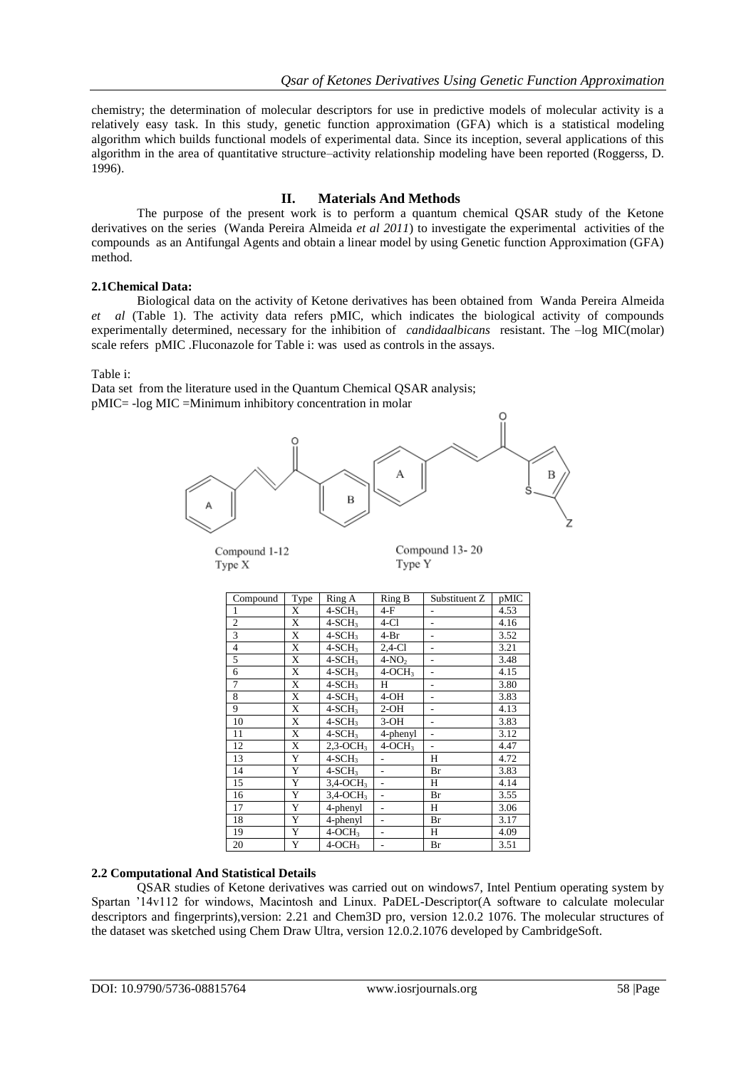chemistry; the determination of molecular descriptors for use in predictive models of molecular activity is a relatively easy task. In this study, genetic function approximation (GFA) which is a statistical modeling algorithm which builds functional models of experimental data. Since its inception, several applications of this algorithm in the area of quantitative structure–activity relationship modeling have been reported (Roggerss, D. 1996).

# **II. Materials And Methods**

The purpose of the present work is to perform a quantum chemical QSAR study of the Ketone derivatives on the series (Wanda Pereira Almeida *et al 2011*) to investigate the experimental activities of the compounds as an Antifungal Agents and obtain a linear model by using Genetic function Approximation (GFA) method.

# **2.1Chemical Data:**

Biological data on the activity of Ketone derivatives has been obtained from Wanda Pereira Almeida *et al* (Table 1). The activity data refers pMIC, which indicates the biological activity of compounds experimentally determined, necessary for the inhibition of *candidaalbicans* resistant. The –log MIC(molar) scale refers pMIC .Fluconazole for Table i: was used as controls in the assays.

## Table i:

Data set from the literature used in the Quantum Chemical QSAR analysis; pMIC= -log MIC =Minimum inhibitory concentration in molar





Compound 13-20 Type Y

| Compound       | Type | Ring A                  | Ring B         | Substituent Z  | pMIC |
|----------------|------|-------------------------|----------------|----------------|------|
| 1              | X    | $4-SCH3$                | $4-F$          |                | 4.53 |
| $\overline{2}$ | X    | $4-SCH3$                | $4-C1$         |                | 4.16 |
| 3              | X    | $4-SCH3$                | $4-Br$         |                | 3.52 |
| $\overline{4}$ | X    | $4-SCH3$                | $2,4$ -Cl      |                | 3.21 |
| 5              | X    | $4-SCH3$                | $4-NO2$        | ۰              | 3.48 |
| 6              | X    | $4-SCH3$                | $4-OCH3$       |                | 4.15 |
| $\overline{7}$ | X    | $4-SCH3$                | H              | ٠              | 3.80 |
| 8              | X    | $4-SCH3$                | $4-OH$         | ۰              | 3.83 |
| 9              | X    | $4-SCH3$                | $2-OH$         | ۰              | 4.13 |
| 10             | X    | $4-SCH3$                | $3-OH$         |                | 3.83 |
| 11             | X    | $4-SCH3$                | 4-phenyl       | $\overline{a}$ | 3.12 |
| 12             | X    | $2,3-OCH3$              | $4-OCH3$       |                | 4.47 |
| 13             | Y    | $4-SCH3$                |                | H              | 4.72 |
| 14             | Y    | $4-SCH3$                | ٠              | Br             | 3.83 |
| 15             | Y    | $3,4$ -OCH <sub>3</sub> | $\overline{a}$ | H              | 4.14 |
| 16             | Y    | $3,4$ -OCH <sub>3</sub> |                | Br             | 3.55 |
| 17             | Y    | 4-phenyl                | L,             | H              | 3.06 |
| 18             | Y    | 4-phenyl                | ٠              | Br             | 3.17 |
| 19             | Y    | $4-OCH3$                | $\overline{a}$ | H              | 4.09 |
| 20             | Y    | $4-OCH3$                |                | Br             | 3.51 |

## **2.2 Computational And Statistical Details**

QSAR studies of Ketone derivatives was carried out on windows7, Intel Pentium operating system by Spartan '14v112 for windows, Macintosh and Linux. PaDEL-Descriptor(A software to calculate molecular descriptors and fingerprints),version: 2.21 and Chem3D pro, version 12.0.2 1076. The molecular structures of the dataset was sketched using Chem Draw Ultra, version 12.0.2.1076 developed by CambridgeSoft.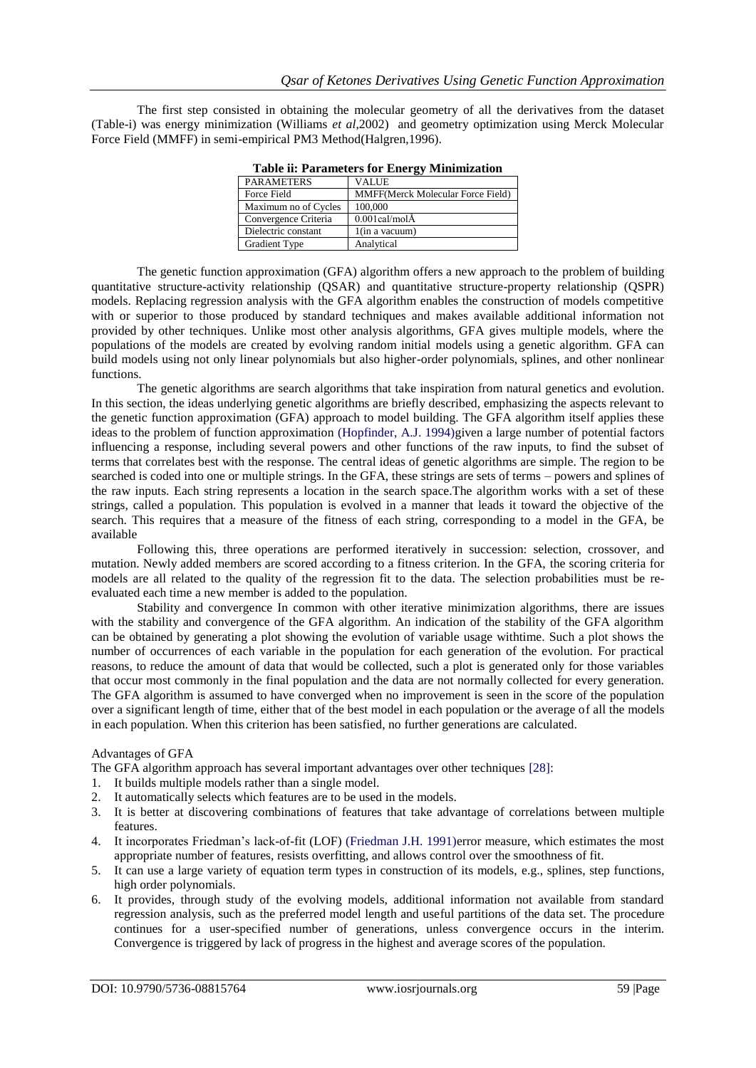The first step consisted in obtaining the molecular geometry of all the derivatives from the dataset (Table-i) was energy minimization (Williams *et al*,2002) and geometry optimization using Merck Molecular Force Field (MMFF) in semi-empirical PM3 Method(Halgren,1996).

|                      | $\sim$                            |
|----------------------|-----------------------------------|
| <b>PARAMETERS</b>    | VALUE                             |
| Force Field          | MMFF(Merck Molecular Force Field) |
| Maximum no of Cycles | 100,000                           |
| Convergence Criteria | $0.001$ cal/mol $\AA$             |
| Dielectric constant  | $1$ (in a vacuum)                 |
| <b>Gradient Type</b> | Analytical                        |
|                      |                                   |

**Table ii: Parameters for Energy Minimization**

The genetic function approximation (GFA) algorithm offers a new approach to the problem of building quantitative structure-activity relationship (QSAR) and quantitative structure-property relationship (QSPR) models. Replacing regression analysis with the GFA algorithm enables the construction of models competitive with or superior to those produced by standard techniques and makes available additional information not provided by other techniques. Unlike most other analysis algorithms, GFA gives multiple models, where the populations of the models are created by evolving random initial models using a genetic algorithm. GFA can build models using not only linear polynomials but also higher-order polynomials, splines, and other nonlinear functions.

The genetic algorithms are search algorithms that take inspiration from natural genetics and evolution. In this section, the ideas underlying genetic algorithms are briefly described, emphasizing the aspects relevant to the genetic function approximation (GFA) approach to model building. The GFA algorithm itself applies these ideas to the problem of function approximation (Hopfinder, A.J. 1994)given a large number of potential factors influencing a response, including several powers and other functions of the raw inputs, to find the subset of terms that correlates best with the response. The central ideas of genetic algorithms are simple. The region to be searched is coded into one or multiple strings. In the GFA, these strings are sets of terms – powers and splines of the raw inputs. Each string represents a location in the search space.The algorithm works with a set of these strings, called a population. This population is evolved in a manner that leads it toward the objective of the search. This requires that a measure of the fitness of each string, corresponding to a model in the GFA, be available

Following this, three operations are performed iteratively in succession: selection, crossover, and mutation. Newly added members are scored according to a fitness criterion. In the GFA, the scoring criteria for models are all related to the quality of the regression fit to the data. The selection probabilities must be reevaluated each time a new member is added to the population.

Stability and convergence In common with other iterative minimization algorithms, there are issues with the stability and convergence of the GFA algorithm. An indication of the stability of the GFA algorithm can be obtained by generating a plot showing the evolution of variable usage withtime. Such a plot shows the number of occurrences of each variable in the population for each generation of the evolution. For practical reasons, to reduce the amount of data that would be collected, such a plot is generated only for those variables that occur most commonly in the final population and the data are not normally collected for every generation. The GFA algorithm is assumed to have converged when no improvement is seen in the score of the population over a significant length of time, either that of the best model in each population or the average of all the models in each population. When this criterion has been satisfied, no further generations are calculated.

## Advantages of GFA

The GFA algorithm approach has several important advantages over other techniques [28]:

- 1. It builds multiple models rather than a single model.
- 2. It automatically selects which features are to be used in the models.
- 3. It is better at discovering combinations of features that take advantage of correlations between multiple features.
- 4. It incorporates Friedman's lack-of-fit (LOF) (Friedman J.H. 1991)error measure, which estimates the most appropriate number of features, resists overfitting, and allows control over the smoothness of fit.
- 5. It can use a large variety of equation term types in construction of its models, e.g., splines, step functions, high order polynomials.
- 6. It provides, through study of the evolving models, additional information not available from standard regression analysis, such as the preferred model length and useful partitions of the data set. The procedure continues for a user-specified number of generations, unless convergence occurs in the interim. Convergence is triggered by lack of progress in the highest and average scores of the population.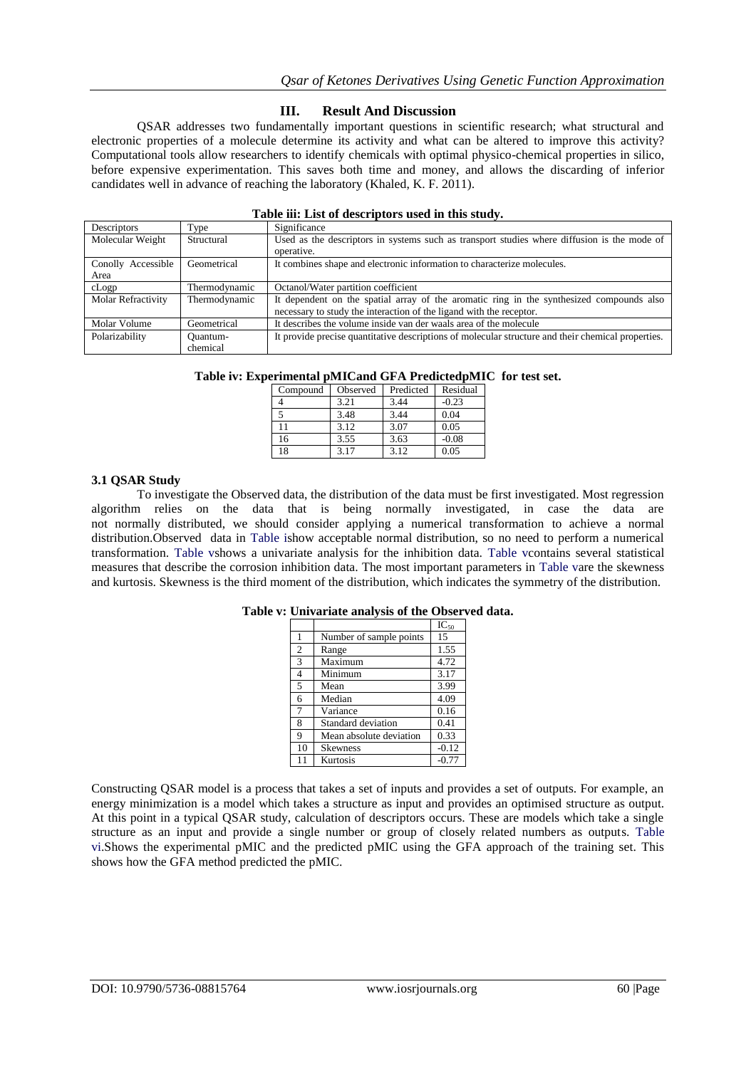# **III. Result And Discussion**

QSAR addresses two fundamentally important questions in scientific research; what structural and electronic properties of a molecule determine its activity and what can be altered to improve this activity? Computational tools allow researchers to identify chemicals with optimal physico-chemical properties in silico, before expensive experimentation. This saves both time and money, and allows the discarding of inferior candidates well in advance of reaching the laboratory (Khaled, K. F. 2011).

| <b>Descriptors</b>        | Type          | Significance                                                                                              |  |  |
|---------------------------|---------------|-----------------------------------------------------------------------------------------------------------|--|--|
| Molecular Weight          | Structural    | Used as the descriptors in systems such as transport studies where diffusion is the mode of<br>operative. |  |  |
| Conolly Accessible        | Geometrical   | It combines shape and electronic information to characterize molecules.                                   |  |  |
| Area                      |               |                                                                                                           |  |  |
| $c$ Logp                  | Thermodynamic | Octanol/Water partition coefficient                                                                       |  |  |
| <b>Molar Refractivity</b> | Thermodynamic | It dependent on the spatial array of the aromatic ring in the synthesized compounds also                  |  |  |
|                           |               | necessary to study the interaction of the ligand with the receptor.                                       |  |  |
| Molar Volume              | Geometrical   | It describes the volume inside van der waals area of the molecule                                         |  |  |
| Polarizability            | Ouantum-      | It provide precise quantitative descriptions of molecular structure and their chemical properties.        |  |  |
|                           | chemical      |                                                                                                           |  |  |

## **Table iii: List of descriptors used in this study.**

### **Table iv: Experimental pMICand GFA PredictedpMIC for test set.**

| Compound | Observed | Predicted | Residual |
|----------|----------|-----------|----------|
|          | 3.21     | 3.44      | $-0.23$  |
|          | 3.48     | 3.44      | 0.04     |
| 11       | 3.12     | 3.07      | 0.05     |
| 16       | 3.55     | 3.63      | $-0.08$  |
| 18       | 3.17     | 3.12      | 0.05     |

### **3.1 QSAR Study**

To investigate the Observed data, the distribution of the data must be first investigated. Most regression algorithm relies on the data that is being normally investigated, in case the data are not normally distributed, we should consider applying a numerical transformation to achieve a normal distribution.Observed data in Table ishow acceptable normal distribution, so no need to perform a numerical transformation. Table vshows a univariate analysis for the inhibition data. Table vcontains several statistical measures that describe the corrosion inhibition data. The most important parameters in Table vare the skewness and kurtosis. Skewness is the third moment of the distribution, which indicates the symmetry of the distribution.

#### **Table v: Univariate analysis of the Observed data.**

|                |                         | $IC_{50}$ |
|----------------|-------------------------|-----------|
| 1              | Number of sample points | 15        |
| $\overline{2}$ | Range                   | 1.55      |
| 3              | Maximum                 | 4.72      |
| $\overline{4}$ | Minimum                 | 3.17      |
| 5              | Mean                    | 3.99      |
| 6              | Median                  | 4.09      |
| $\overline{7}$ | Variance                | 0.16      |
| 8              | Standard deviation      | 0.41      |
| 9              | Mean absolute deviation | 0.33      |
| 10             | <b>Skewness</b>         | $-0.12$   |
| 11             | Kurtosis                | $-0.77$   |

Constructing QSAR model is a process that takes a set of inputs and provides a set of outputs. For example, an energy minimization is a model which takes a structure as input and provides an optimised structure as output. At this point in a typical QSAR study, calculation of descriptors occurs. These are models which take a single structure as an input and provide a single number or group of closely related numbers as outputs. Table vi.Shows the experimental pMIC and the predicted pMIC using the GFA approach of the training set. This shows how the GFA method predicted the pMIC.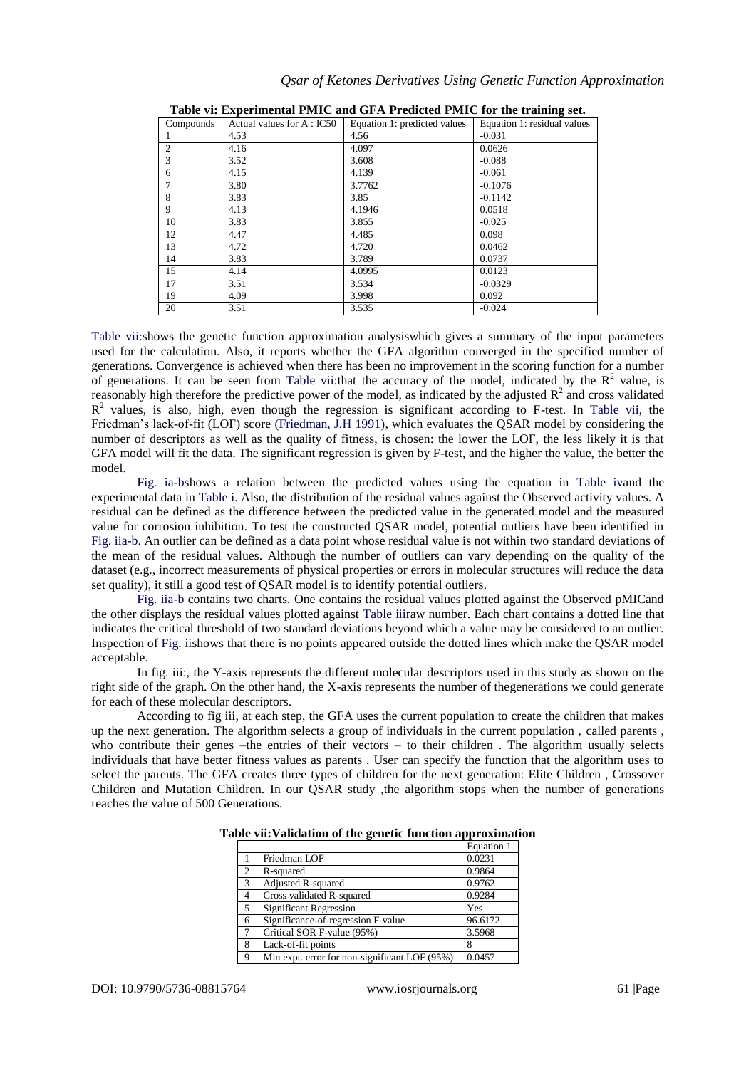|                |                           | Table VI. Experimental Fivily and GFA Fredicted Fivily for the training set. |                             |  |  |
|----------------|---------------------------|------------------------------------------------------------------------------|-----------------------------|--|--|
| Compounds      | Actual values for A: IC50 | Equation 1: predicted values                                                 | Equation 1: residual values |  |  |
|                | 4.53                      | 4.56                                                                         | $-0.031$                    |  |  |
| $\overline{c}$ | 4.16                      | 4.097                                                                        | 0.0626                      |  |  |
| 3              | 3.52                      | 3.608                                                                        | $-0.088$                    |  |  |
| 6              | 4.15                      | 4.139                                                                        | $-0.061$                    |  |  |
| 7              | 3.80                      | 3.7762                                                                       | $-0.1076$                   |  |  |
| 8              | 3.83                      | 3.85                                                                         | $-0.1142$                   |  |  |
| 9              | 4.13                      | 4.1946                                                                       | 0.0518                      |  |  |
| 10             | 3.83                      | 3.855                                                                        | $-0.025$                    |  |  |
| 12             | 4.47                      | 4.485                                                                        | 0.098                       |  |  |
| 13             | 4.72                      | 4.720                                                                        | 0.0462                      |  |  |
| 14             | 3.83                      | 3.789                                                                        | 0.0737                      |  |  |
| 15             | 4.14                      | 4.0995                                                                       | 0.0123                      |  |  |
| 17             | 3.51                      | 3.534                                                                        | $-0.0329$                   |  |  |
| 19             | 4.09                      | 3.998                                                                        | 0.092                       |  |  |
| 20             | 3.51                      | 3.535                                                                        | $-0.024$                    |  |  |

| Table vi: Experimental PMIC and GFA Predicted PMIC for the training set. |  |
|--------------------------------------------------------------------------|--|
|--------------------------------------------------------------------------|--|

Table vii:shows the genetic function approximation analysiswhich gives a summary of the input parameters used for the calculation. Also, it reports whether the GFA algorithm converged in the specified number of generations. Convergence is achieved when there has been no improvement in the scoring function for a number of generations. It can be seen from Table vii:that the accuracy of the model, indicated by the  $R^2$  value, is reasonably high therefore the predictive power of the model, as indicated by the adjusted  $R^2$  and cross validated  $R^2$  values, is also, high, even though the regression is significant according to F-test. In Table vii, the Friedman's lack-of-fit (LOF) score (Friedman, J.H 1991), which evaluates the QSAR model by considering the number of descriptors as well as the quality of fitness, is chosen: the lower the LOF, the less likely it is that GFA model will fit the data. The significant regression is given by F-test, and the higher the value, the better the model.

Fig. ia-bshows a relation between the predicted values using the equation in Table ivand the experimental data in Table i. Also, the distribution of the residual values against the Observed activity values. A residual can be defined as the difference between the predicted value in the generated model and the measured value for corrosion inhibition. To test the constructed QSAR model, potential outliers have been identified in Fig. iia-b. An outlier can be defined as a data point whose residual value is not within two standard deviations of the mean of the residual values. Although the number of outliers can vary depending on the quality of the dataset (e.g., incorrect measurements of physical properties or errors in molecular structures will reduce the data set quality), it still a good test of QSAR model is to identify potential outliers.

Fig. iia-b contains two charts. One contains the residual values plotted against the Observed pMICand the other displays the residual values plotted against Table iiiraw number. Each chart contains a dotted line that indicates the critical threshold of two standard deviations beyond which a value may be considered to an outlier. Inspection of Fig. iishows that there is no points appeared outside the dotted lines which make the QSAR model acceptable.

In fig. iii:, the Y-axis represents the different molecular descriptors used in this study as shown on the right side of the graph. On the other hand, the X-axis represents the number of thegenerations we could generate for each of these molecular descriptors.

According to fig iii, at each step, the GFA uses the current population to create the children that makes up the next generation. The algorithm selects a group of individuals in the current population , called parents , who contribute their genes –the entries of their vectors – to their children. The algorithm usually selects individuals that have better fitness values as parents . User can specify the function that the algorithm uses to select the parents. The GFA creates three types of children for the next generation: Elite Children , Crossover Children and Mutation Children. In our QSAR study ,the algorithm stops when the number of generations reaches the value of 500 Generations.

|                |                                               | Equation 1 |
|----------------|-----------------------------------------------|------------|
|                | Friedman LOF                                  | 0.0231     |
| $\overline{c}$ | R-squared                                     | 0.9864     |
| $\overline{3}$ | Adjusted R-squared                            | 0.9762     |
| $\overline{4}$ | Cross validated R-squared                     | 0.9284     |
| 5              | <b>Significant Regression</b>                 | Yes        |
| 6              | Significance-of-regression F-value            | 96.6172    |
|                | Critical SOR F-value (95%)                    | 3.5968     |
| 8              | Lack-of-fit points                            | 8          |
| Q              | Min expt. error for non-significant LOF (95%) | 0.0457     |

| Table vii: Validation of the genetic function approximation |  |  |  |  |  |  |  |  |  |  |  |
|-------------------------------------------------------------|--|--|--|--|--|--|--|--|--|--|--|
|-------------------------------------------------------------|--|--|--|--|--|--|--|--|--|--|--|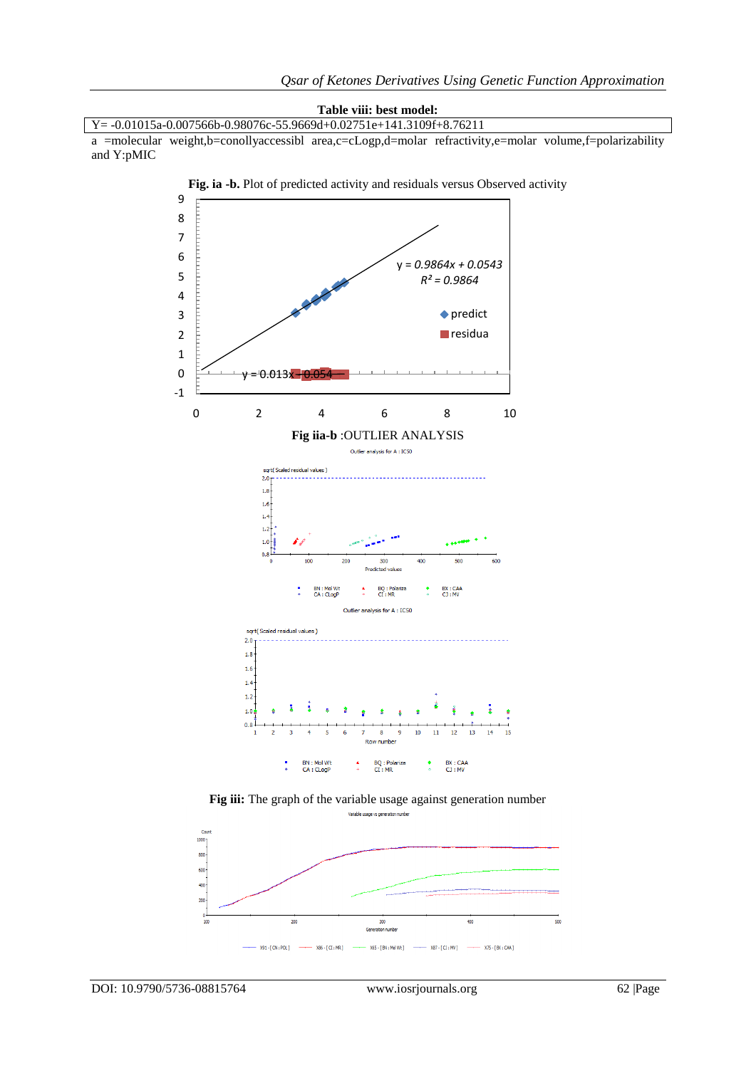

a =molecular weight,b=conollyaccessibl area,c=cLogp,d=molar refractivity,e=molar volume,f=polarizability and Y:pMIC



**Fig. ia -b.** Plot of predicted activity and residuals versus Observed activity



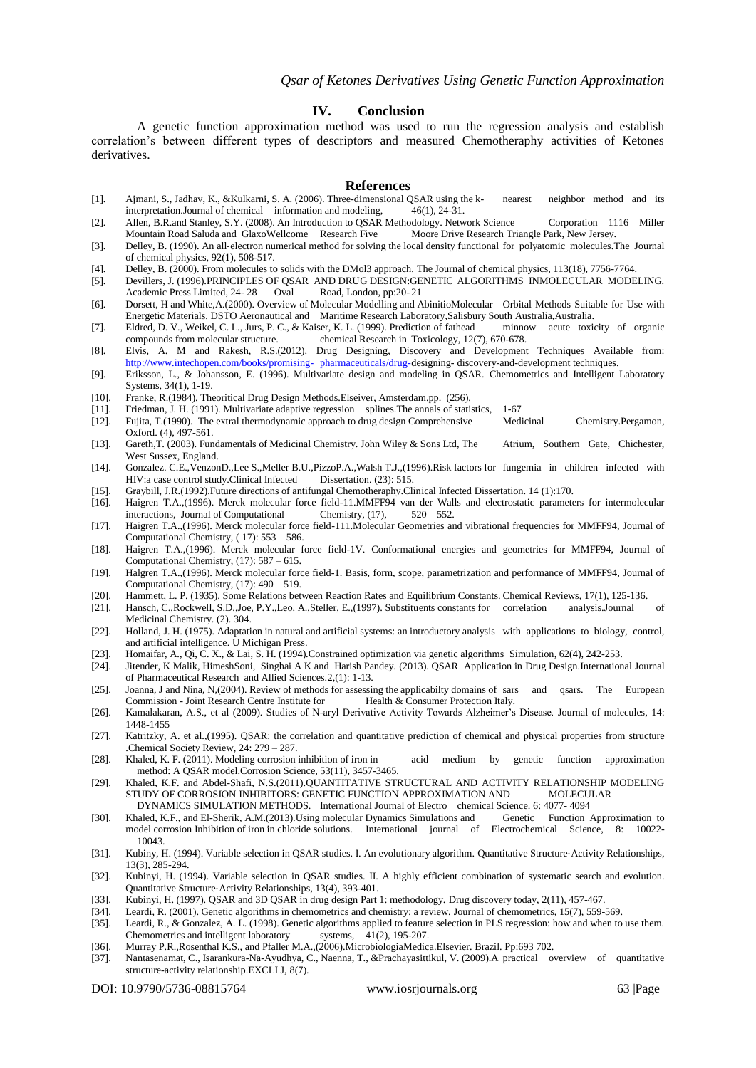#### **IV. Conclusion**

A genetic function approximation method was used to run the regression analysis and establish correlation's between different types of descriptors and measured Chemotheraphy activities of Ketones derivatives.

### **References**

- [1]. Ajmani, S., Jadhav, K., &Kulkarni, S. A. (2006). Three-dimensional QSAR using the k- nearest neighbor method and its interpretation. Journal of chemical information and modeling,  $46(1)$ , 24-31.
- [2]. Allen, B.R.and Stanley, S.Y. (2008). An Introduction to QSAR Methodology. Network Science Corporation 1116 Miller Mountain Road Saluda and GlaxoWellcome Research Five Moore Drive Research Triangle Park, New Jersey.
- [3]. Delley, B. (1990). An all-electron numerical method for solving the local density functional for polyatomic molecules. The Journal of chemical physics, 92(1), 508-517.

[4]. Delley, B. (2000). From molecules to solids with the DMol3 approach. The Journal of chemical physics, 113(18), 7756-7764.

- [5]. Devillers, J. (1996).PRINCIPLES OF QSAR AND DRUG DESIGN:GENETIC ALGORITHMS INMOLECULAR MODELING. Academic Press Limited, 24- 28 Oval
- [6]. Dorsett, H and White,A.(2000). Overview of Molecular Modelling and AbinitioMolecular Orbital Methods Suitable for Use with
- Energetic Materials. DSTO Aeronautical and Maritime Research Laboratory, Salisbury South Australia, Australia.<br>Eldred, D. V., Weikel, C. L., Jurs, P. C., & Kaiser, K. L. (1999). Prediction of fathead minnow acute toxicity [7]. Eldred, D. V., Weikel, C. L., Jurs, P. C., & Kaiser, K. L. (1999). Prediction of fathead compounds from molecular structure. chemical Research in Toxicology, 12(7), 670-678.
- [8]. Elvis, A. M and Rakesh, R.S.(2012). Drug Designing, Discovery and Development Techniques Available from: [http://www.intechopen.com/books/promising-](http://www.intechopen.com/books/promising-%09pharmaceuticals/drug-) pharmaceuticals/drug-designing- discovery-and-development techniques.
- [9]. Eriksson, L., & Johansson, E. (1996). Multivariate design and modeling in QSAR. Chemometrics and Intelligent Laboratory Systems, 34(1), 1-19.
- [10]. Franke, R.(1984). Theoritical Drug Design Methods.Elseiver, Amsterdam.pp. (256).
- [11]. Friedman, J. H. (1991). Multivariate adaptive regression splines.The annals of statistics, 1-67
- [12]. Fujita, T.(1990). The extral thermodynamic approach to drug design Comprehensive Medicinal Chemistry.Pergamon, Oxford. (4), 497-561.
- [13]. Gareth,T. (2003). Fundamentals of Medicinal Chemistry. John Wiley & Sons Ltd, The Atrium, Southern Gate, Chichester, West Sussex, England.
- [14]. Gonzalez. C.E.,VenzonD.,Lee S.,Meller B.U.,PizzoP.A.,Walsh T.J.,(1996).Risk factors for fungemia in children infected with HIV:a case control study.Clinical Infected Dissertation. (23): 515.
- [15]. Graybill, J.R.(1992).Future directions of antifungal Chemotheraphy.Clinical Infected Dissertation. 14 (1):170.
- [16]. Haigren T.A.,(1996). Merck molecular force field-11.MMFF94 van der Walls and electrostatic parameters for intermolecular interactions, Journal of Computational Chemistry, (17), 520 – 552.
- [17]. Haigren T.A.,(1996). Merck molecular force field-111.Molecular Geometries and vibrational frequencies for MMFF94, Journal of Computational Chemistry, ( 17): 553 – 586.
- [18]. Haigren T.A.,(1996). Merck molecular force field-1V. Conformational energies and geometries for MMFF94, Journal of Computational Chemistry, (17): 587 – 615.
- [19]. Halgren T.A.,(1996). Merck molecular force field-1. Basis, form, scope, parametrization and performance of MMFF94, Journal of Computational Chemistry, (17): 490 – 519.
- [20]. Hammett, L. P. (1935). Some Relations between Reaction Rates and Equilibrium Constants. Chemical Reviews, 17(1), 125-136.
- [21]. Hansch, C.,Rockwell, S.D.,Joe, P.Y.,Leo. A.,Steller, E.,(1997). Substituents constants for correlation analysis.Journal Medicinal Chemistry. (2). 304.
- [22]. Holland, J. H. (1975). Adaptation in natural and artificial systems: an introductory analysis with applications to biology, control, and artificial intelligence. U Michigan Press.
- [23]. Homaifar, A., Qi, C. X., & Lai, S. H. (1994).Constrained optimization via genetic algorithms Simulation, 62(4), 242-253.
- [24]. Jitender, K Malik, HimeshSoni, Singhai A K and Harish Pandey. (2013). QSAR Application in Drug Design.International Journal of Pharmaceutical Research and Allied Sciences.2,(1): 1-13.
- [25]. Joanna, J and Nina, N,(2004). Review of methods for assessing the applicabilty domains of sars and qsars. The European Commission Joint Research Centre Institute for Health & Consumer Protection Italy. Commission - Joint Research Centre Institute for
- [26]. Kamalakaran, A.S., et al (2009). Studies of N-aryl Derivative Activity Towards Alzheimer's Disease. Journal of molecules, 14: 1448-1455
- [27]. Katritzky, A. et al.,(1995). QSAR: the correlation and quantitative prediction of chemical and physical properties from structure .Chemical Society Review, 24: 279 – 287.
- [28]. Khaled, K. F. (2011). Modeling corrosion inhibition of iron in acid medium by genetic function approximation method: A QSAR model.Corrosion Science, 53(11), 3457-3465.
- [29]. Khaled, K.F. and Abdel-Shafi, N.S.(2011).QUANTITATIVE STRUCTURAL AND ACTIVITY RELATIONSHIP MODELING STUDY OF CORROSION INHIBITORS: GENETIC FUNCTION APPROXIMATION AND MOLECULAR DYNAMICS SIMULATION METHODS. International Journal of Electro chemical Science. 6: 4077- 4094
- [30]. Khaled, K.F., and El-Sherik, A.M.(2013).Using molecular Dynamics Simulations and Genetic Function Approximation to model corrosion Inhibition of iron in chloride solutions. International journal of Electrochemical Science, 8: 10022- 10043.
- [31]. Kubiny, H. (1994). Variable selection in QSAR studies. I. An evolutionary algorithm. Quantitative Structure‐Activity Relationships, 13(3), 285-294.
- [32]. Kubinyi, H. (1994). Variable selection in QSAR studies. II. A highly efficient combination of systematic search and evolution. Quantitative Structure‐Activity Relationships, 13(4), 393-401.
- [33]. Kubinyi, H. (1997). QSAR and 3D QSAR in drug design Part 1: methodology. Drug discovery today, 2(11), 457-467.<br>[34]. Leardi, R. (2001). Genetic algorithms in chemometrics and chemistry: a review. Journal of chemometr
- 
- [34]. Leardi, R. (2001). Genetic algorithms in chemometrics and chemistry: a review. Journal of chemometrics, 15(7), 559-569.<br>[35]. Leardi, R., & Gonzalez, A. L. (1998). Genetic algorithms applied to feature selection in P Leardi, R., & Gonzalez, A. L. (1998). Genetic algorithms applied to feature selection in PLS regression: how and when to use them. Chemometrics and intelligent laboratory systems,  $41(2)$ , 195-207.
- [36]. Murray P.R.,Rosenthal K.S., and Pfaller M.A.,(2006).MicrobiologiaMedica.Elsevier. Brazil. Pp:693 702.
- [37]. Nantasenamat, C., Isarankura-Na-Ayudhya, C., Naenna, T., &Prachayasittikul, V. (2009).A practical overview of quantitative structure-activity relationship.EXCLI J, 8(7).